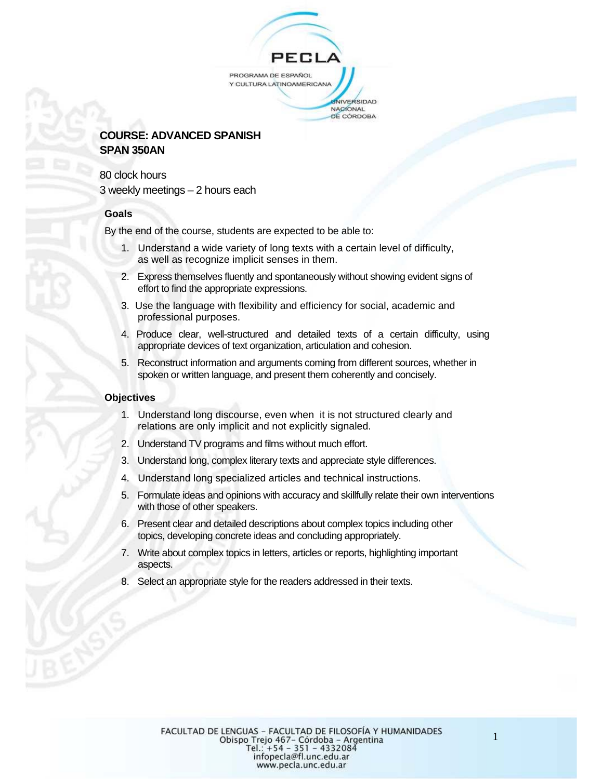# PEC PROGRAMA DE ESPAÑOL Y CULTURA LATINOAMERICANA **JNIVERSIDAD**

#### NACIONAL DE CÓRDOBA

## **COURSE: ADVANCED SPANISH SPAN 350AN**

80 clock hours 3 weekly meetings – 2 hours each

#### **Goals**

By the end of the course, students are expected to be able to:

- 1. Understand a wide variety of long texts with a certain level of difficulty, as well as recognize implicit senses in them.
- 2. Express themselves fluently and spontaneously without showing evident signs of effort to find the appropriate expressions.
- 3. Use the language with flexibility and efficiency for social, academic and professional purposes.
- 4. Produce clear, well-structured and detailed texts of a certain difficulty, using appropriate devices of text organization, articulation and cohesion.
- 5. Reconstruct information and arguments coming from different sources, whether in spoken or written language, and present them coherently and concisely.

#### **Objectives**

- 1. Understand long discourse, even when it is not structured clearly and relations are only implicit and not explicitly signaled.
- 2. Understand TV programs and films without much effort.
- 3. Understand long, complex literary texts and appreciate style differences.
- 4. Understand long specialized articles and technical instructions.
- 5. Formulate ideas and opinions with accuracy and skillfully relate their own interventions with those of other speakers.
- 6. Present clear and detailed descriptions about complex topics including other topics, developing concrete ideas and concluding appropriately.
- 7. Write about complex topics in letters, articles or reports, highlighting important aspects.
- Select an appropriate style for the readers addressed in their texts.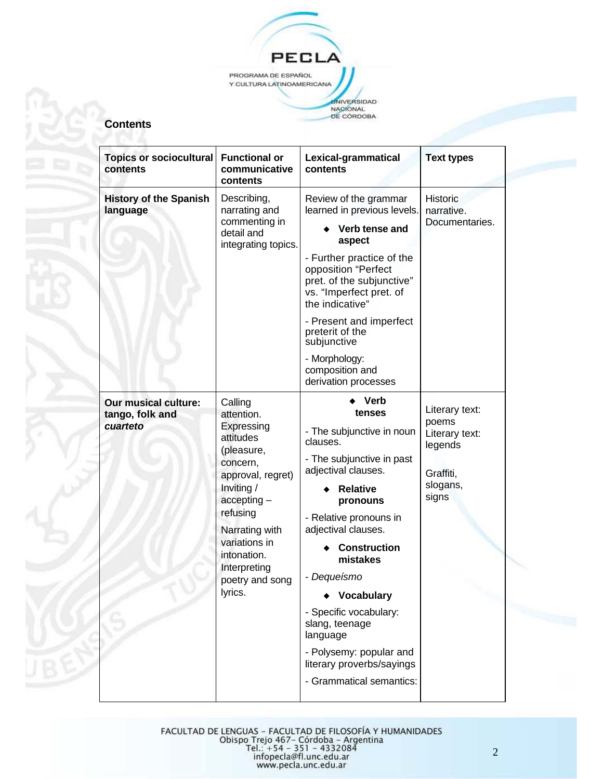

## **Contents**

| <b>Topics or sociocultural</b><br>contents                 | <b>Functional or</b><br>communicative<br>contents                                                                                                                                                                                          | Lexical-grammatical<br>contents                                                                                                                                                                                                                                                                                                                                                                                                        | <b>Text types</b>                                                                      |  |
|------------------------------------------------------------|--------------------------------------------------------------------------------------------------------------------------------------------------------------------------------------------------------------------------------------------|----------------------------------------------------------------------------------------------------------------------------------------------------------------------------------------------------------------------------------------------------------------------------------------------------------------------------------------------------------------------------------------------------------------------------------------|----------------------------------------------------------------------------------------|--|
| <b>History of the Spanish</b><br>language                  | Describing,<br>narrating and<br>commenting in<br>detail and<br>integrating topics.                                                                                                                                                         | Review of the grammar<br>learned in previous levels.<br>Verb tense and<br>aspect<br>- Further practice of the<br>opposition "Perfect<br>pret. of the subjunctive"<br>vs. "Imperfect pret. of<br>the indicative"<br>- Present and imperfect<br>preterit of the<br>subjunctive<br>- Morphology:<br>composition and                                                                                                                       | <b>Historic</b><br>narrative.<br>Documentaries.                                        |  |
| <b>Our musical culture:</b><br>tango, folk and<br>cuarteto | Calling<br>attention.<br>Expressing<br>attitudes<br>(pleasure,<br>concern,<br>approval, regret)<br>Inviting /<br>$accepting -$<br>refusing<br>Narrating with<br>variations in<br>intonation.<br>Interpreting<br>poetry and song<br>lyrics. | derivation processes<br>Verb<br>tenses<br>- The subjunctive in noun<br>clauses.<br>- The subjunctive in past<br>adjectival clauses.<br><b>Relative</b><br>pronouns<br>- Relative pronouns in<br>adjectival clauses.<br><b>Construction</b><br>mistakes<br>- Dequeísmo<br><b>Vocabulary</b><br>- Specific vocabulary:<br>slang, teenage<br>language<br>- Polysemy: popular and<br>literary proverbs/sayings<br>- Grammatical semantics: | Literary text:<br>poems<br>Literary text:<br>legends<br>Graffiti,<br>slogans,<br>signs |  |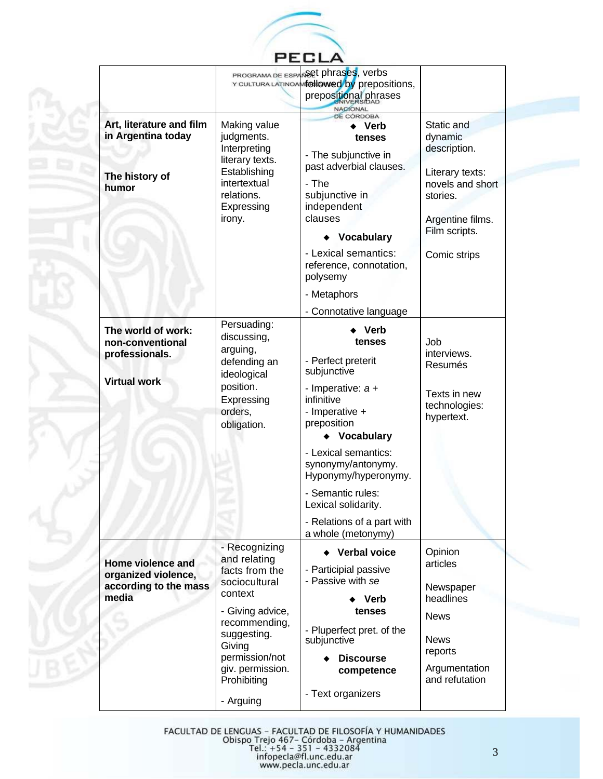

|                                                                            | PROGRAMA DE ESPA                                                                                                                                            | Ret phrases, verbs<br>Y CULTURA LATINOAMEDIIOWED by prepositions,<br>prepositional phrases<br><b>NACIONAL</b>                                                                                                                                  |                                                                                                                                               |
|----------------------------------------------------------------------------|-------------------------------------------------------------------------------------------------------------------------------------------------------------|------------------------------------------------------------------------------------------------------------------------------------------------------------------------------------------------------------------------------------------------|-----------------------------------------------------------------------------------------------------------------------------------------------|
| Art, literature and film<br>in Argentina today<br>The history of<br>humor  | Making value<br>judgments.<br>Interpreting<br>literary texts.<br>Establishing<br>intertextual<br>relations.<br>Expressing<br>irony.                         | DE CÓRDOBA<br><b>Verb</b><br>tenses<br>- The subjunctive in<br>past adverbial clauses.<br>- The<br>subjunctive in<br>independent<br>clauses<br><b>Vocabulary</b><br>- Lexical semantics:<br>reference, connotation,<br>polysemy<br>- Metaphors | Static and<br>dynamic<br>description.<br>Literary texts:<br>novels and short<br>stories.<br>Argentine films.<br>Film scripts.<br>Comic strips |
| The world of work:                                                         | Persuading:<br>discussing,                                                                                                                                  | - Connotative language<br><b>Verb</b>                                                                                                                                                                                                          |                                                                                                                                               |
| non-conventional<br>professionals.                                         | arguing,<br>defending an<br>ideological<br>position.<br>Expressing<br>orders,<br>obligation.                                                                | tenses<br>- Perfect preterit<br>subjunctive                                                                                                                                                                                                    | Job<br>interviews.<br>Resumés                                                                                                                 |
| <b>Virtual work</b>                                                        |                                                                                                                                                             | - Imperative: $a +$<br>infinitive<br>- Imperative +<br>preposition<br>Vocabulary                                                                                                                                                               | Texts in new<br>technologies:<br>hypertext.                                                                                                   |
|                                                                            |                                                                                                                                                             | - Lexical semantics:<br>synonymy/antonymy.<br>Hyponymy/hyperonymy.                                                                                                                                                                             |                                                                                                                                               |
|                                                                            |                                                                                                                                                             | - Semantic rules:<br>Lexical solidarity.                                                                                                                                                                                                       |                                                                                                                                               |
|                                                                            |                                                                                                                                                             | - Relations of a part with<br>a whole (metonymy)                                                                                                                                                                                               |                                                                                                                                               |
| Home violence and<br>organized violence,<br>according to the mass<br>media | - Recognizing<br>and relating<br>facts from the<br>sociocultural<br>context<br>- Giving advice,<br>recommending,<br>suggesting.<br>Giving<br>permission/not | ◆ Verbal voice<br>- Participial passive<br>- Passive with se<br>Verb<br>tenses<br>- Pluperfect pret. of the<br>subjunctive<br><b>Discourse</b>                                                                                                 | Opinion<br>articles<br>Newspaper<br>headlines<br><b>News</b><br><b>News</b><br>reports                                                        |
|                                                                            | giv. permission.<br>Prohibiting<br>- Arguing                                                                                                                | competence<br>- Text organizers                                                                                                                                                                                                                | Argumentation<br>and refutation                                                                                                               |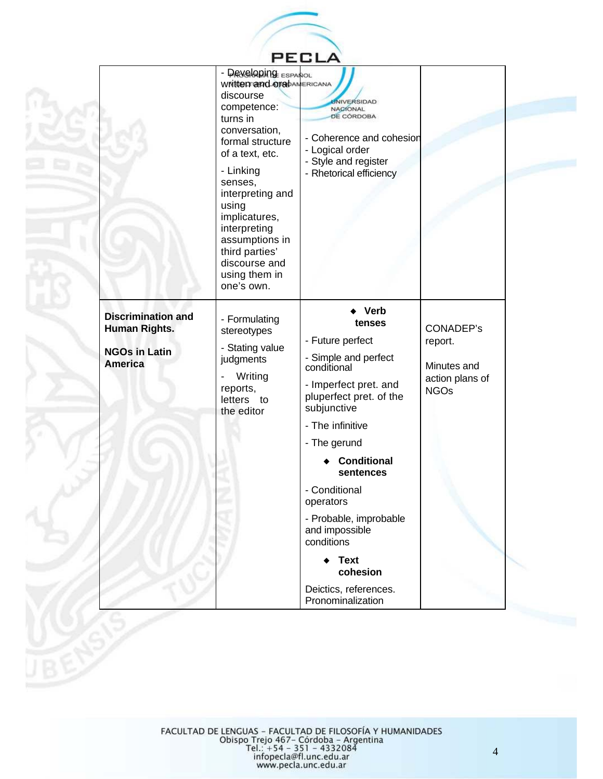

|                                                                                             | - DRYCLODING ESPANOL<br>Written and orapAMERICANA<br>discourse<br>competence:<br>turns in<br>conversation,<br>formal structure<br>of a text, etc.<br>- Linking<br>senses,<br>interpreting and<br>using<br>implicatures,<br>interpreting<br>assumptions in<br>third parties'<br>discourse and<br>using them in<br>one's own. | <b>JNIVERSIDAD</b><br>NACIONAL<br><b>DE CÓRDOBA</b><br>- Coherence and cohesion<br>- Logical order<br>- Style and register<br>- Rhetorical efficiency                                                                                                                                                                                               |                                                                              |
|---------------------------------------------------------------------------------------------|-----------------------------------------------------------------------------------------------------------------------------------------------------------------------------------------------------------------------------------------------------------------------------------------------------------------------------|-----------------------------------------------------------------------------------------------------------------------------------------------------------------------------------------------------------------------------------------------------------------------------------------------------------------------------------------------------|------------------------------------------------------------------------------|
| <b>Discrimination and</b><br><b>Human Rights.</b><br><b>NGOs in Latin</b><br><b>America</b> | - Formulating<br>stereotypes<br>- Stating value<br>judgments<br>Writing<br>reports,<br>letters to<br>the editor                                                                                                                                                                                                             | <b>Verb</b><br>tenses<br>- Future perfect<br>- Simple and perfect<br>conditional<br>- Imperfect pret. and<br>pluperfect pret. of the<br>subjunctive<br>- The infinitive<br>- The gerund<br><b>Conditional</b><br>sentences<br>- Conditional<br>operators<br>- Probable, improbable<br>and impossible<br>conditions<br>$\leftarrow$ Text<br>cohesion | <b>CONADEP's</b><br>report.<br>Minutes and<br>action plans of<br><b>NGOs</b> |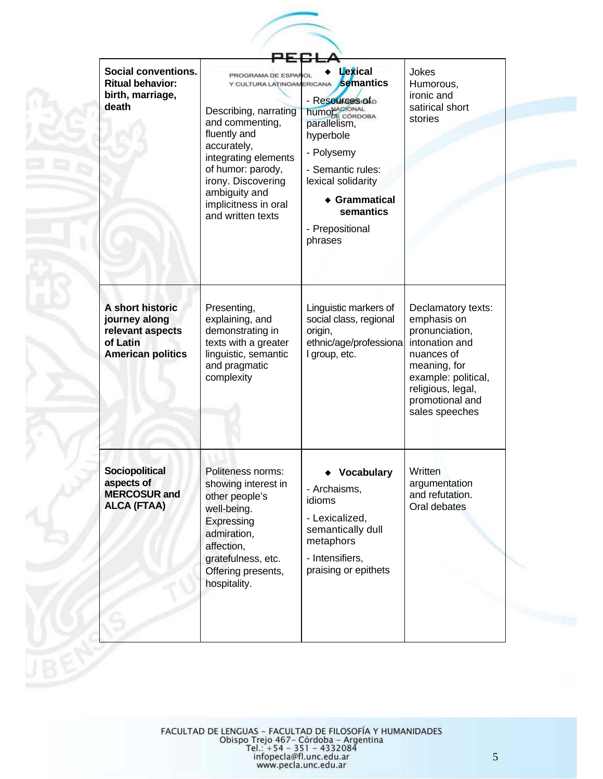| <b>Social conventions.</b><br><b>Ritual behavior:</b><br>birth, marriage,<br>death            | PROGRAMA DE ESPAÑ<br>Y CULTURA LATINOAMERICANA<br>Describing, narrating<br>and commenting,<br>fluently and<br>accurately,<br>integrating elements<br>of humor: parody,<br>irony. Discovering<br>ambiguity and<br>implicitness in oral<br>and written texts | Lexical<br>semantics<br>- Resources of o<br><b>humo</b> NAGIÓNAL<br>parallelism,<br>hyperbole<br>- Polysemy<br>- Semantic rules:<br>lexical solidarity<br>◆ Grammatical<br>semantics<br>- Prepositional<br>phrases | Jokes<br>Humorous,<br>ironic and<br>satirical short<br>stories                                                                                                                       |
|-----------------------------------------------------------------------------------------------|------------------------------------------------------------------------------------------------------------------------------------------------------------------------------------------------------------------------------------------------------------|--------------------------------------------------------------------------------------------------------------------------------------------------------------------------------------------------------------------|--------------------------------------------------------------------------------------------------------------------------------------------------------------------------------------|
| A short historic<br>journey along<br>relevant aspects<br>of Latin<br><b>American politics</b> | Presenting,<br>explaining, and<br>demonstrating in<br>texts with a greater<br>linguistic, semantic<br>and pragmatic<br>complexity                                                                                                                          | Linguistic markers of<br>social class, regional<br>origin,<br>ethnic/age/professiona<br>I group, etc.                                                                                                              | Declamatory texts:<br>emphasis on<br>pronunciation,<br>intonation and<br>nuances of<br>meaning, for<br>example: political,<br>religious, legal,<br>promotional and<br>sales speeches |
| <b>Sociopolitical</b><br>aspects of<br><b>MERCOSUR and</b><br><b>ALCA (FTAA)</b>              | Politeness norms:<br>showing interest in<br>other people's<br>well-being.<br>Expressing<br>admiration,<br>affection,<br>gratefulness, etc.<br>Offering presents,<br>hospitality.                                                                           | <b>Vocabulary</b><br>- Archaisms,<br>idioms<br>- Lexicalized,<br>semantically dull<br>metaphors<br>- Intensifiers,<br>praising or epithets                                                                         | Written<br>argumentation<br>and refutation.<br>Oral debates                                                                                                                          |